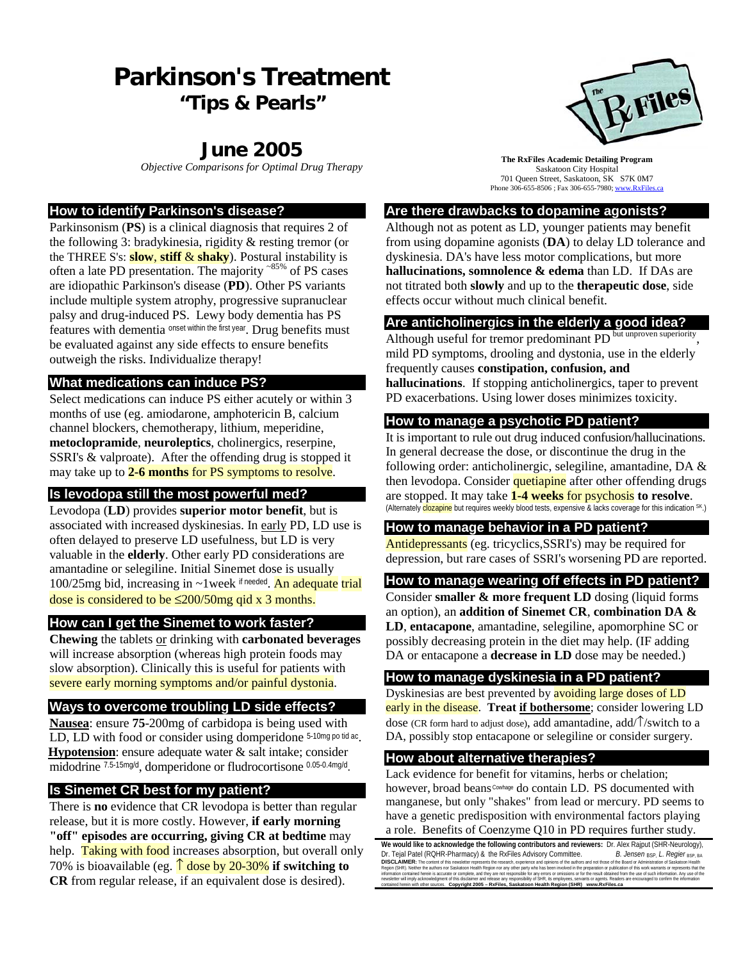# **Parkinson's Treatment "Tips & Pearls"**

## **June 2005**

#### **How to identify Parkinson's disease?**

Parkinsonism (**PS**) is a clinical diagnosis that requires 2 of the following 3: bradykinesia, rigidity & resting tremor (or the THREE S's: **slow**, **stiff** & **shaky**). Postural instability is often a late PD presentation. The majority ~85% of PS cases are idiopathic Parkinson's disease (**PD**). Other PS variants include multiple system atrophy, progressive supranuclear palsy and drug-induced PS. Lewy body dementia has PS features with dementia onset within the first year. Drug benefits must be evaluated against any side effects to ensure benefits outweigh the risks. Individualize therapy!

#### **What medications can induce PS?**

Select medications can induce PS either acutely or within 3 months of use (eg. amiodarone, amphotericin B, calcium channel blockers, chemotherapy, lithium, meperidine, **metoclopramide**, **neuroleptics**, cholinergics, reserpine, SSRI's & valproate). After the offending drug is stopped it may take up to **2-6 months** for PS symptoms to resolve.

### **Is levodopa still the most powerful med?**

Levodopa (**LD**) provides **superior motor benefit**, but is associated with increased dyskinesias. In early PD, LD use is often delayed to preserve LD usefulness, but LD is very valuable in the **elderly**. Other early PD considerations are amantadine or selegiline. Initial Sinemet dose is usually 100/25mg bid, increasing in  $\sim$ 1week if needed. An adequate trial dose is considered to be ≤200/50mg qid x 3 months.

#### **How can I get the Sinemet to work faster?**

**Chewing** the tablets or drinking with **carbonated beverages** will increase absorption (whereas high protein foods may slow absorption). Clinically this is useful for patients with severe early morning symptoms and/or painful dystonia.

#### **Ways to overcome troubling LD side effects?**

**Nausea**: ensure **75**-200mg of carbidopa is being used with LD, LD with food or consider using domperidone  $5-10$ mg po tid ac. **Hypotension**: ensure adequate water & salt intake; consider midodrine 7.5-15mg/d, domperidone or fludrocortisone 0.05-0.4mg/d.

#### **Is Sinemet CR best for my patient?**

There is **no** evidence that CR levodopa is better than regular release, but it is more costly. However, **if early morning "off" episodes are occurring, giving CR at bedtime** may help. Taking with food increases absorption, but overall only 70% is bioavailable (eg. ↑ dose by 20-30% **if switching to CR** from regular release, if an equivalent dose is desired).



**OBjective Comparisons for Optimal Drug Therapy The RxFiles Academic Detailing Program**<br>Saskatoon City Hospital Saskatoon City Hospital 701 Queen Street, Saskatoon, SK S7K 0M7 Phone 306-655-8506 ; Fax 306-655-7980; www.RxFiles.ca

### **Are there drawbacks to dopamine agonists?**

Although not as potent as LD, younger patients may benefit from using dopamine agonists (**DA**) to delay LD tolerance and dyskinesia. DA's have less motor complications, but more **hallucinations, somnolence & edema** than LD. If DAs are not titrated both **slowly** and up to the **therapeutic dose**, side effects occur without much clinical benefit.

#### **Are anticholinergics in the elderly a good idea?**

Although useful for tremor predominant PD but unproven superiority mild PD symptoms, drooling and dystonia, use in the elderly frequently causes **constipation, confusion, and hallucinations**. If stopping anticholinergics, taper to prevent PD exacerbations. Using lower doses minimizes toxicity.

#### **How to manage a psychotic PD patient?**

It is important to rule out drug induced confusion/hallucinations. In general decrease the dose, or discontinue the drug in the following order: anticholinergic, selegiline, amantadine, DA & then levodopa. Consider quetiapine after other offending drugs are stopped. It may take **1-4 weeks** for psychosis **to resolve**. (Alternately clozapine but requires weekly blood tests, expensive & lacks coverage for this indication SK.)

#### **How to manage behavior in a PD patient?**

Antidepressants (eg. tricyclics,SSRI's) may be required for depression, but rare cases of SSRI's worsening PD are reported.

#### **How to manage wearing off effects in PD patient?**

Consider **smaller & more frequent LD** dosing (liquid forms an option), an **addition of Sinemet CR**, **combination DA & LD**, **entacapone**, amantadine, selegiline, apomorphine SC or possibly decreasing protein in the diet may help. (IF adding DA or entacapone a **decrease in LD** dose may be needed.)

#### **How to manage dyskinesia in a PD patient?**

Dyskinesias are best prevented by avoiding large doses of LD early in the disease. **Treat if bothersome**; consider lowering LD dose (CR form hard to adjust dose), add amantadine, add/↑/switch to a DA, possibly stop entacapone or selegiline or consider surgery.

#### **How about alternative therapies?**

Lack evidence for benefit for vitamins, herbs or chelation; however, broad beans Cowhage do contain LD. PS documented with manganese, but only "shakes" from lead or mercury. PD seems to have a genetic predisposition with environmental factors playing a role. Benefits of Coenzyme Q10 in PD requires further study.

**We would like to acknowledge the following contributors and reviewers:** Dr. Alex Rajput (SHR-Neurology), Dr. Tejal Patel (ROHR-Pharmacy) & the RxFiles Advisory Committee.<br>Dr. Tejal Patel (ROHR-Pharmacy) & the RxFiles Advisory Committee.<br>DISCLAIMER: The content of this newsletter recreasints the research engineers and printene **DISCLAIMER:** The content of this newsletter represents the research, experience and ophions of the authors and not hose of the Beard or Administration of Saskatoon Health<br>Region (SHP), Neither the authors no "saskatoon He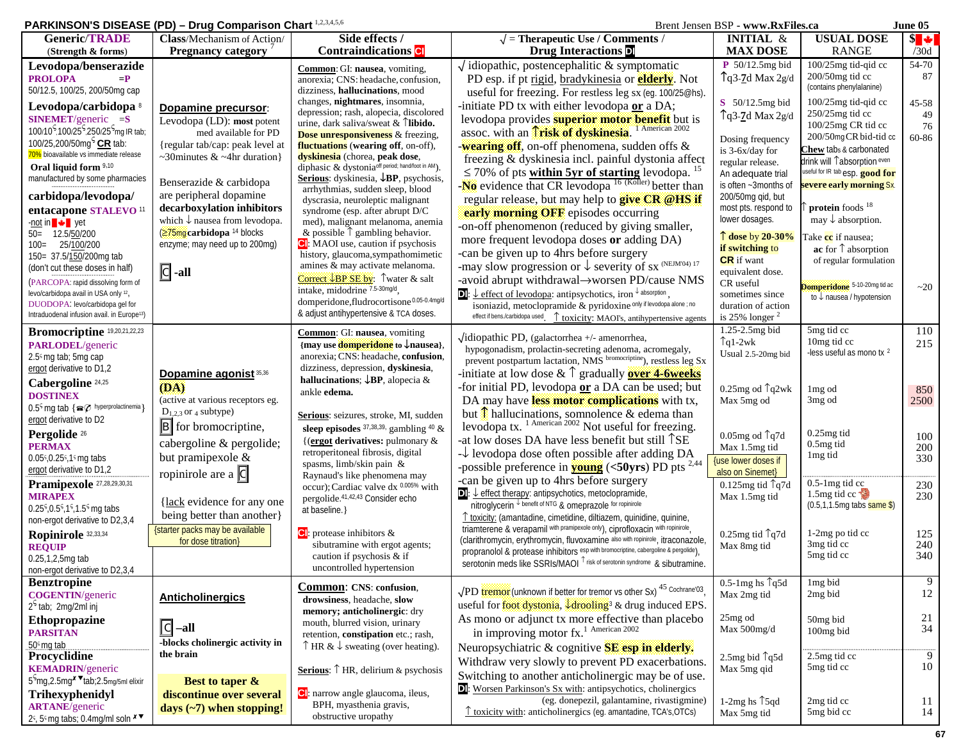#### **PARKINSON'S DISEASE (PD) – Drug Comparison Chart**  $^{1,2,3,4,5,6}$  **Brent Jensen BSP - www.RxFiles.ca June 05**

| <b>Generic/TRADE</b>                                                                       | Class/Mechanism of Action/                             | Side effects /                                                                                  | $\sqrt{\ }$ = Therapeutic Use / Comments /                                                                                                                                                        | <b>INITIAL &amp;</b>                                | <b>USUAL DOSE</b>                                               | $s \rightarrow$ |
|--------------------------------------------------------------------------------------------|--------------------------------------------------------|-------------------------------------------------------------------------------------------------|---------------------------------------------------------------------------------------------------------------------------------------------------------------------------------------------------|-----------------------------------------------------|-----------------------------------------------------------------|-----------------|
| (Strength & forms)                                                                         | <b>Pregnancy category</b>                              | <b>Contraindications</b> C                                                                      | <b>Drug Interactions</b>                                                                                                                                                                          | <b>MAX DOSE</b>                                     | <b>RANGE</b>                                                    | /30d            |
| Levodopa/benserazide                                                                       |                                                        | Common: GI: nausea, vomiting,                                                                   | $\sqrt{\text{i}}}$ idiopathic, postencephalitic & symptomatic                                                                                                                                     | $P$ 50/12.5mg bid                                   | 100/25mg tid-qid cc                                             | 54-70           |
| <b>PROLOPA</b><br>$=$ P                                                                    |                                                        | anorexia; CNS: headache, confusion,                                                             | PD esp. if pt rigid, bradykinesia or <b>elderly</b> . Not                                                                                                                                         | $\int q^3 - Z d$ Max $2g/d$                         | 200/50mg tid cc<br>(contains phenylalanine)                     | 87              |
| 50/12.5, 100/25, 200/50mg cap                                                              |                                                        | dizziness, hallucinations, mood<br>changes, nightmares, insomnia,                               | useful for freezing. For restless leg sx (eg. 100/25@hs).                                                                                                                                         |                                                     | $100/25$ mg tid-qid cc                                          |                 |
| Levodopa/carbidopa <sup>8</sup>                                                            | Dopamine precursor:                                    | depression; rash, alopecia, discolored                                                          | -initiate PD tx with either levodopa or a DA;                                                                                                                                                     | S 50/12.5mg bid                                     | $250/25$ mg tid cc                                              | $45 - 58$<br>49 |
| $SINEMENT$ /generic $=S$                                                                   | Levodopa (LD): most potent                             | urine, dark saliva/sweat $& \hat{\text{T}}$ <b>libido.</b>                                      | levodopa provides superior motor benefit but is                                                                                                                                                   | $\int q3-7d$ Max 2g/d                               | 100/25mg CR tid cc                                              | 76              |
| 100/10 <sup>5</sup> ,100/25 <sup>5</sup> ,250/25 <sup>5</sup> mg IR tab;                   | med available for PD                                   | <b>Dose unresponsiveness</b> & freezing,                                                        | assoc. with an Trisk of dyskinesia. <sup>1 American 2002</sup>                                                                                                                                    | Dosing frequency                                    | 200/50mgCR bid-tid cc                                           | 60-86           |
| 100/25,200/50mg <sup>5</sup> CR tab:<br>70% bioavailable vs immediate release              | {regular tab/cap: peak level at                        | <b>fluctuations</b> (wearing off, on-off),                                                      | -wearing off, on-off phenomena, sudden offs &                                                                                                                                                     | is 3-6x/day for                                     | Chew tabs & carbonated                                          |                 |
| Oral liquid form 9,10                                                                      | ~30 minutes $&$ ~4 hr duration }                       | dyskinesia (chorea, peak dose,<br>diphasic & dystonia <sup>off period; hand/foot in AM</sup> ). | freezing & dyskinesia incl. painful dystonia affect                                                                                                                                               | regular release.                                    | drink will ↑absorption <sup>even</sup>                          |                 |
| manufactured by some pharmacies                                                            |                                                        | <b>Serious:</b> dyskinesia, $\downarrow$ <b>BP</b> , psychosis,                                 | $\leq$ 70% of pts within 5yr of starting levodopa.                                                                                                                                                | An adequate trial                                   | useful for IR tab esp. <b>good for</b>                          |                 |
|                                                                                            | Benserazide & carbidopa<br>are peripheral dopamine     | arrhythmias, sudden sleep, blood                                                                | -No evidence that CR levodopa $^{16}$ (Koller) better than                                                                                                                                        | is often ~3months of                                | severe early morning Sx.                                        |                 |
| carbidopa/levodopa/                                                                        | decarboxylation inhibitors                             | dyscrasia, neuroleptic malignant                                                                | regular release, but may help to give CR @HS if                                                                                                                                                   | 200/50mg qid, but<br>most pts. respond to           | protein foods <sup>18</sup>                                     |                 |
| entacapone STALEVO <sup>11</sup><br>-not in ↓ yet                                          | which $\downarrow$ nausea from levodopa.               | syndrome (esp. after abrupt D/C<br>med), malignant melanoma, anemia                             | early morning OFF episodes occurring                                                                                                                                                              | lower dosages.                                      | may $\downarrow$ absorption.                                    |                 |
| 50= 12.5/50/200                                                                            | 275mg carbidopa <sup>14</sup> blocks                   | & possible $\uparrow$ gambling behavior.                                                        | -on-off phenomenon (reduced by giving smaller,                                                                                                                                                    |                                                     |                                                                 |                 |
| 25/100/200<br>$100 =$                                                                      | enzyme; may need up to 200mg)                          | <b>C</b> : MAOI use, caution if psychosis                                                       | more frequent levodopa doses or adding DA)                                                                                                                                                        | $\uparrow$ dose by 20-30%<br>if switching to        | Take <mark>cc</mark> if nausea:<br>ac for $\uparrow$ absorption |                 |
| 150= 37.5/150/200mg tab                                                                    |                                                        | history, glaucoma, sympathomimetic                                                              | -can be given up to 4hrs before surgery                                                                                                                                                           | <b>CR</b> if want                                   | of regular formulation                                          |                 |
| (don't cut these doses in half)                                                            | $\boxed{\phantom{1}}$ -all                             | amines & may activate melanoma.                                                                 | -may slow progression or $\downarrow$ severity of sx <sup>(NEJM04)17</sup>                                                                                                                        | equivalent dose.                                    |                                                                 |                 |
| (PARCOPA: rapid dissolving form of                                                         |                                                        | <b>Correct JBP SE by:</b> $\int$ water & salt<br>intake, midodrine 7.5-30mg/d,                  | -avoid abrupt withdrawal->worsen PD/cause NMS                                                                                                                                                     | CR useful                                           | Domperidone 5-10-20mg tid ac                                    | ~20             |
| levo/carbidopa avail in USA only 12,                                                       |                                                        | domperidone, fludrocortisone 0.05-0.4mg/d                                                       | <b>D</b> : $\downarrow$ effect of levodopa: antipsychotics, iron $\downarrow$ absorption                                                                                                          | sometimes since                                     | to $\downarrow$ nausea / hypotension                            |                 |
| DUODOPA: levo/carbidopa gel for<br>Intraduodenal infusion avail. in Europe <sup>13</sup> ) |                                                        | & adjust antihypertensive & TCA doses.                                                          | isoniazid, metoclopramide & pyridoxine only if levodopa alone ; no<br>effect if bens./carbidopa used <sup>1</sup> toxicity: MAOI's, antihypertensive agents                                       | duration of action<br>is $25\%$ longer <sup>2</sup> |                                                                 |                 |
|                                                                                            |                                                        |                                                                                                 |                                                                                                                                                                                                   | 1.25-2.5mg bid                                      | 5mg tid cc                                                      | 110             |
| Bromocriptine 19,20,21,22,23                                                               |                                                        | <b>Common: GI: nausea, vomiting</b><br>{may use <b>domperidone</b> to $\downarrow$ nausea},     | $\sqrt{\text{idi}}$ idiopathic PD, (galactorrhea +/- amenorrhea,                                                                                                                                  | $\int q1-2wk$                                       | 10mg tid cc                                                     | 215             |
| PARLODEL/generic<br>2.5° mg tab; 5mg cap                                                   |                                                        | anorexia; CNS: headache, confusion,                                                             | hypogonadism, prolactin-secreting adenoma, acromegaly,                                                                                                                                            | Usual 2.5-20mg bid                                  | -less useful as mono tx 2                                       |                 |
| ergot derivative to D1,2                                                                   |                                                        | dizziness, depression, dyskinesia,                                                              | prevent postpartum lactation, NMS bromocriptine), restless leg Sx                                                                                                                                 |                                                     |                                                                 |                 |
| Cabergoline <sup>24,25</sup>                                                               | Dopamine agonist 35,36                                 | hallucinations; $\downarrow$ BP, alopecia &                                                     | -initiate at low dose $\&$ $\uparrow$ gradually <b>over 4-6 weeks</b>                                                                                                                             |                                                     |                                                                 |                 |
| <b>DOSTINEX</b>                                                                            | (DA)<br>(active at various receptors eg.               | ankle edema.                                                                                    | -for initial PD, levodopa or a DA can be used; but                                                                                                                                                | $0.25$ mg od $\uparrow$ q2wk                        | 1 <sub>mg</sub> od                                              | 850             |
| $0.5c$ mg tab { $\text{C}$ <sup>0</sup> hyperprolactinemia}                                | $D_{1,2,3}$ or 4 subtype)                              |                                                                                                 | DA may have less motor complications with tx,                                                                                                                                                     | Max 5mg od                                          | 3mg od                                                          | 2500            |
| ergot derivative to D2                                                                     | $\boxed{B}$ for bromocriptine,                         | Serious: seizures, stroke, MI, sudden                                                           | but $\hat{\textbf{R}}$ hallucinations, sommolence & edema than levodopa tx. <sup>1 American 2002</sup> Not useful for freezing.                                                                   |                                                     |                                                                 |                 |
| Pergolide <sup>26</sup>                                                                    |                                                        | sleep episodes $37.38.39$ gambling $40 \&$<br>{(ergot derivatives: pulmonary &                  | at low doses DA have less benefit but still TSE                                                                                                                                                   | $0.05$ mg od $\hat{q}$ 7d                           | $0.25$ mg tid                                                   | 100             |
| <b>PERMAX</b>                                                                              | cabergoline & pergolide;                               | retroperitoneal fibrosis, digital                                                               | $\downarrow$ levodopa dose often possible after adding DA                                                                                                                                         | Max 1.5mg tid                                       | $0.5$ mg tid<br>1 <sub>mg tid</sub>                             | 200             |
| $0.05$ <sup>5</sup> , $0.25$ <sup>5</sup> , $1$ <sup>5</sup> mg tabs                       | but pramipexole &                                      | spasms, limb/skin pain &                                                                        | -possible preference in <b>young</b> (<50yrs) PD pts $^{2,44}$                                                                                                                                    | <b>{use lower doses if</b>                          |                                                                 | 330             |
| ergot derivative to D1,2                                                                   | ropinirole are a $ C $                                 | Raynaud's like phenomena may                                                                    | -can be given up to 4hrs before surgery                                                                                                                                                           | also on Sinemet}                                    |                                                                 |                 |
| Pramipexole 27,28,29,30,31<br><b>MIRAPEX</b>                                               |                                                        | occur); Cardiac valve dx 0.005% with                                                            | $\Box$ : $\bot$ effect therapy: antipsychotics, metoclopramide,                                                                                                                                   | $0.125$ mg tid $\text{q7d}$<br>Max 1.5mg tid        | $0.5-1$ mg tid cc<br>1.5 $mg$ tid cc $\frac{1}{2}$              | 230<br>230      |
| $0.25^{\circ}, 0.5^{\circ}, 1^{\circ}, 1.5^{\circ}$ mg tabs                                | {lack evidence for any one                             | pergolide. 41,42,43 Consider echo<br>at baseline.}                                              | nitroglycerin benefit of NTG & omeprazole for ropinirole                                                                                                                                          |                                                     | $(0.5, 1, 1.5mg$ tabs same \$)                                  |                 |
| non-ergot derivative to D2,3,4                                                             | being better than another}                             |                                                                                                 | <u><sup>↑</sup> toxicity:</u> (amantadine, cimetidine, diltiazem, quinidine, quinine,                                                                                                             |                                                     |                                                                 |                 |
| Ropinirole 32,33,34                                                                        | {starter packs may be available                        | $\boxed{\text{c}}$ : protease inhibitors &                                                      | triamterene & verapamil with pramipexole only), ciprofloxacin with ropinirole,                                                                                                                    | $0.25$ mg tid $\int q7d$                            | 1-2mg po tid cc                                                 | 125             |
| <b>REQUIP</b>                                                                              | for dose titration}                                    | sibutramine with ergot agents;                                                                  | (clarithromycin, erythromycin, fluvoxamine also with ropinirole, itraconazole,<br>propranolol & protease inhibitors esp with bromocriptine, cabergoline & pergolide),                             | Max 8mg tid                                         | 3 <sub>mg tid</sub> cc                                          | 240             |
| $0.25, 1, 2, 5$ mq tab                                                                     |                                                        | caution if psychosis & if                                                                       | serotonin meds like SSRIs/MAOI Trisk of serotonin syndrome & sibutramine.                                                                                                                         |                                                     | 5mg tid cc                                                      | 340             |
| non-ergot derivative to D2,3,4                                                             |                                                        | uncontrolled hypertension                                                                       |                                                                                                                                                                                                   |                                                     |                                                                 |                 |
| <b>Benztropine</b><br><b>COGENTIN/generic</b>                                              |                                                        | <b>Common:</b> CNS: confusion,                                                                  | √PD tremor (unknown if better for tremor vs other Sx) <sup>45</sup> Cochrane'03                                                                                                                   | $0.5-1$ mg hs $\uparrow q5d$<br>Max 2mg tid         | 1mg bid<br>2mg bid                                              | 9<br>12         |
| $2^5$ tab; 2mg/2ml inj                                                                     | <b>Anticholinergics</b>                                | drowsiness, headache, slow                                                                      | useful for foot dystonia, <i>d</i> rooling <sup>3</sup> & drug induced EPS.                                                                                                                       |                                                     |                                                                 |                 |
| Ethopropazine                                                                              |                                                        | memory; anticholinergic: dry<br>mouth, blurred vision, urinary                                  | As mono or adjunct tx more effective than placebo                                                                                                                                                 | 25mg od                                             | 50mg bid                                                        | 21              |
| <b>PARSITAN</b>                                                                            | $\boxed{C}$<br>$-all$                                  | retention, constipation etc.; rash,                                                             | in improving motor fx. <sup>1</sup> American 2002                                                                                                                                                 | Max 500mg/d                                         | 100mg bid                                                       | 34              |
| 50° mg tab                                                                                 | -blocks cholinergic activity in                        | $\uparrow$ HR & $\downarrow$ sweating (over heating).                                           | Neuropsychiatric & cognitive <b>SE</b> esp in elderly.                                                                                                                                            |                                                     |                                                                 |                 |
| Procyclidine                                                                               | the brain                                              |                                                                                                 | Withdraw very slowly to prevent PD exacerbations.                                                                                                                                                 | 2.5 $mg$ bid $\log 5d$                              | 2.5mg tid cc                                                    | 9               |
| <b>KEMADRIN</b> /generic                                                                   |                                                        | <b>Serious:</b> $\uparrow$ HR, delirium & psychosis                                             |                                                                                                                                                                                                   | Max 5mg qid                                         | 5mg tid cc                                                      | 10              |
| 5 <sup>S</sup> mg, 2.5mg <sup>x V</sup> tab; 2.5mg/5ml elixir                              |                                                        |                                                                                                 |                                                                                                                                                                                                   |                                                     |                                                                 |                 |
|                                                                                            | <b>Best to taper &amp;</b>                             |                                                                                                 | Switching to another anticholinergic may be of use.                                                                                                                                               |                                                     |                                                                 |                 |
| Trihexyphenidyl<br><b>ARTANE</b> /generic                                                  | discontinue over several<br>days $(-7)$ when stopping! | Cl: narrow angle glaucoma, ileus,<br>BPH, myasthenia gravis,                                    | <b>D</b> : Worsen Parkinson's Sx with: antipsychotics, cholinergics<br>(eg. donepezil, galantamine, rivastigmine)<br>$\hat{\Gamma}$ toxicity with: anticholinergics (eq. amantadine, TCA's, OTCs) | 1-2mg hs $\uparrow$ 5qd                             | 2mg tid cc<br>5mg bid cc                                        | 11<br>14        |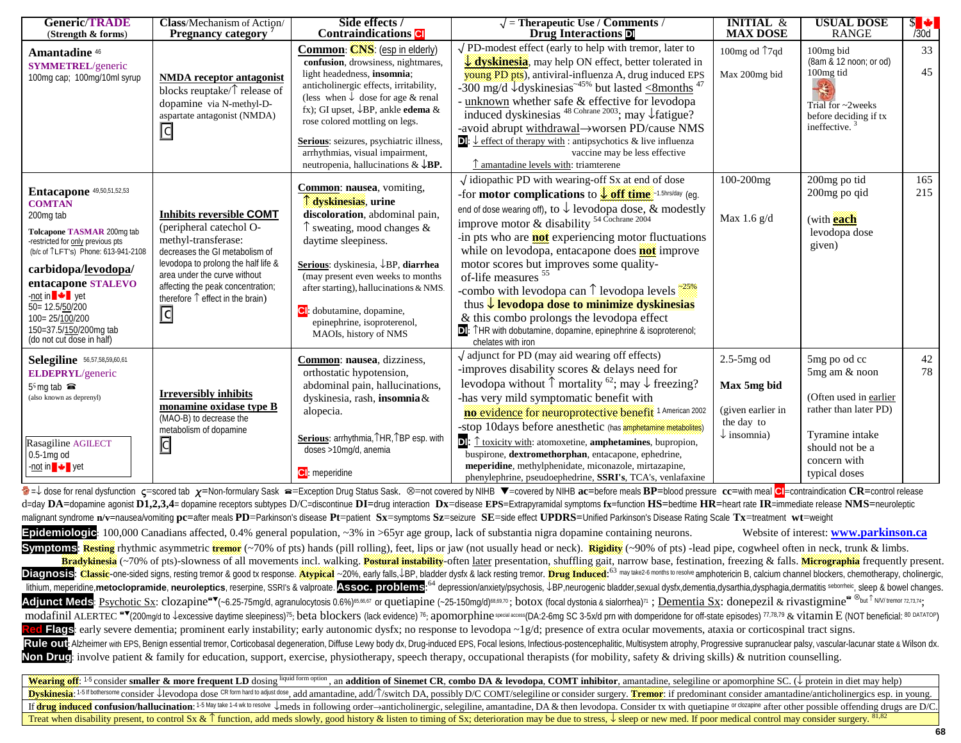| <b>Generic/TRADE</b><br>(Strength & forms)                                                                                                                                                                                                                                                                                                     | Class/Mechanism of Action/<br><b>Pregnancy category</b>                                                                                                                                                                                                                                | Side effects /<br><b>Contraindications</b>                                                                                                                                                                                                                                                                                                                                                          | $\sqrt{\ }$ = Therapeutic Use / Comments /<br>Drug Interactions D                                                                                                                                                                                                                                                                                                                                                                                                                                                                                                                                                                                                                                                                                                                                                                            | <b>INITIAL &amp;</b><br><b>MAX DOSE</b>                                                            | <b>USUAL DOSE</b><br><b>RANGE</b>                                                                                                                                                                         | $s \bullet$<br>/30d |
|------------------------------------------------------------------------------------------------------------------------------------------------------------------------------------------------------------------------------------------------------------------------------------------------------------------------------------------------|----------------------------------------------------------------------------------------------------------------------------------------------------------------------------------------------------------------------------------------------------------------------------------------|-----------------------------------------------------------------------------------------------------------------------------------------------------------------------------------------------------------------------------------------------------------------------------------------------------------------------------------------------------------------------------------------------------|----------------------------------------------------------------------------------------------------------------------------------------------------------------------------------------------------------------------------------------------------------------------------------------------------------------------------------------------------------------------------------------------------------------------------------------------------------------------------------------------------------------------------------------------------------------------------------------------------------------------------------------------------------------------------------------------------------------------------------------------------------------------------------------------------------------------------------------------|----------------------------------------------------------------------------------------------------|-----------------------------------------------------------------------------------------------------------------------------------------------------------------------------------------------------------|---------------------|
| <b>Amantadine</b> 46<br><b>SYMMETREL/generic</b><br>100mg cap; 100mg/10ml syrup                                                                                                                                                                                                                                                                | <b>NMDA</b> receptor antagonist<br>blocks reuptake/ $\uparrow$ release of<br>dopamine via N-methyl-D-<br>aspartate antagonist (NMDA)<br>$\Box$                                                                                                                                         | Common: CNS: (esp in elderly)<br>confusion, drowsiness, nightmares,<br>light headedness, insomnia;<br>anticholinergic effects, irritability,<br>(less when $\downarrow$ dose for age & renal<br>fx); GI upset, $\downarrow$ BP, ankle edema &<br>rose colored mottling on legs.<br>Serious: seizures, psychiatric illness,<br>arrhythmias, visual impairment,<br>neutropenia, hallucinations & JBP. | $\sqrt{PD}$ -modest effect (early to help with tremor, later to<br><b>U</b> dyskinesia, may help ON effect, better tolerated in<br>young PD pts), antiviral-influenza A, drug induced EPS<br>-300 mg/d $\sqrt{dy}$ skinesias <sup>-45%</sup> but lasted $\leq$ 8months <sup>47</sup><br>- unknown whether safe & effective for levodopa<br>induced dyskinesias $48 \text{ Cohrane } 2003$ ; may $\downarrow$ fatigue?<br>-avoid abrupt withdrawal->worsen PD/cause NMS<br>$\Box$ : $\bot$ effect of therapy with : antipsychotics & live influenza<br>vaccine may be less effective<br>$\uparrow$ amantadine levels with: triamterene                                                                                                                                                                                                        | 100mg od 17qd<br>Max 200mg bid                                                                     | 100mg bid<br>(8am & 12 noon; or od)<br>100 <sub>mg</sub> tid<br>Trial for $\sim$ 2 weeks<br>before deciding if tx<br>ineffective. $3$                                                                     | 33<br>45            |
| <b>Entacapone</b> 49,50,51,52,53<br><b>COMTAN</b><br>200mg tab<br>Tolcapone TASMAR 200mg tab<br>-restricted for only previous pts<br>(b/c of TLFT's) Phone: 613-941-2108<br>carbidopa/ <u>levodopa</u> /<br>entacapone STALEVO<br>-not in ■ ↓■ yet<br>50= 12.5/50/200<br>100=25/100/200<br>150=37.5/150/200mg tab<br>(do not cut dose in half) | <b>Inhibits reversible COMT</b><br>(peripheral catechol O-<br>methyl-transferase:<br>decreases the GI metabolism of<br>levodopa to prolong the half life &<br>area under the curve without<br>affecting the peak concentration;<br>therefore $\uparrow$ effect in the brain)<br>$\Box$ | <b>Common:</b> nausea, vomiting,<br>T dyskinesias, urine<br>discoloration, abdominal pain,<br>$\uparrow$ sweating, mood changes &<br>daytime sleepiness.<br>Serious: dyskinesia, JBP, diarrhea<br>(may present even weeks to months<br>after starting), hallucinations & NMS.<br><b>C</b> : dobutamine, dopamine,<br>epinephrine, isoproterenol,<br>MAOIs, history of NMS                           | $\sqrt{\text{i}}}$ diopathic PD with wearing-off Sx at end of dose<br>-for <b>motor complications</b> to $\frac{1}{2}$ off time 1.5hrs/day (eg.<br>end of dose wearing off), to $\downarrow$ levodopa dose, & modestly<br>improve motor & disability <sup>54 Cochrane 2004</sup><br>-in pts who are <b>not</b> experiencing motor fluctuations<br>while on levodopa, entacapone does <b>not</b> improve<br>motor scores but improves some quality-<br>of-life measures <sup>55</sup><br>-combo with levodopa can $\uparrow$ levodopa levels $\frac{25\%}{25\%}$<br>thus <b>Levodopa dose to minimize dyskinesias</b><br>& this combo prolongs the levodopa effect<br>THR with dobutamine, dopamine, epinephrine & isoproterenol;<br>chelates with iron                                                                                       | 100-200mg<br>Max 1.6 g/d                                                                           | 200mg po tid<br>200mg po qid<br>(with each<br>levodopa dose<br>given)                                                                                                                                     | 165<br>215          |
| Selegiline 56,57,58,59,60,61<br>ELDEPRYL/generic<br>$5c$ mg tab $\bullet$<br>(also known as deprenyl)<br>Rasagiline AGILECT<br>$0.5-1$ mg od<br>-not in ↓ yet                                                                                                                                                                                  | <b>Irreversibly inhibits</b><br>monamine oxidase type B<br>(MAO-B) to decrease the<br>metabolism of dopamine<br>$\boxed{\text{C}}$                                                                                                                                                     | Common: nausea, dizziness,<br>orthostatic hypotension,<br>abdominal pain, hallucinations,<br>dyskinesia, rash, insomnia &<br>alopecia.<br>Serious: arrhythmia, THR, TBP esp. with<br>doses >10mg/d, anemia<br><b>CI</b> : meperidine                                                                                                                                                                | $\sqrt{\ }$ adjunct for PD (may aid wearing off effects)<br>-improves disability scores & delays need for<br>levodopa without $\uparrow$ mortality <sup>62</sup> ; may $\downarrow$ freezing?<br>-has very mild symptomatic benefit with<br>no evidence for neuroprotective benefit 1 American 2002<br>-stop 10days before anesthetic (has amphetamine metabolites)<br>$\boxed{\bullet}$ : $\uparrow$ toxicity with: atomoxetine, <b>amphetamines</b> , bupropion,<br>buspirone, dextromethorphan, entacapone, ephedrine,<br>meperidine, methylphenidate, miconazole, mirtazapine,<br>phenylephrine, pseudoephedrine, SSRI's, TCA's, venlafaxine<br>$\overline{11}$ $\overline{11110}$ $\overline{12}$ $\overline{11}$ $\overline{11110}$ $\overline{11110}$ $\overline{11}$ $\overline{11}$ $\overline{11}$ $\overline{11}$ $\overline{11}$ | $2.5-5mg$ od<br>Max 5mg bid<br>(given earlier in<br>the day to<br>$\downarrow$ insomnia)<br>$\sim$ | 5mg po od cc<br>5mg am & noon<br>(Often used in earlier<br>rather than later PD)<br>Tyramine intake<br>should not be a<br>concern with<br>typical doses<br>$\mathbf{r}$ and $\mathbf{r}$ and $\mathbf{r}$ | 42<br>78            |

=J dose for renal dysfunction c=scored tab x=Non-formulary Sask a=Exception Drug Status Sask. ⊗=not covered by NIHB V=covered by NIHB ac=before meals BP=blood pressure cc=with meal Cl=contraindication CR=control release d=day DA=dopamine agonist D1,2,3,4= dopamine receptors subtypes D/C=discontinue DI=drug interaction Dx=disease EPS=Extrapyramidal symptoms fx=function HS=bedtime HR=heart rate IR=immediate release NMS=neuroleptic malignant syndrome n/v=nausea/vomiting pc=after meals PD=Parkinson's disease Pt=patient Sx=symptoms Sz=seizure SE=side effect UPDRS=Unified Parkinson's Disease Rating Scale Tx=treatment wt=weight **Epidemiologic**: 100,000 Canadians affected, 0.4% general population, ~3% in >65yr age group, lack of substantia nigra dopamine containing neurons. Website of interest: **www.parkinson.ca Symptoms: Resting** rhythmic asymmetric tremor (~70% of pts) hands (pill rolling), feet, lips or jaw (not usually head or neck). Rigidity (~90% of pts) -lead pipe, cogwheel often in neck, trunk & limbs. **Bradykinesia** (~70% of pts)-slowness of all movements incl. walking. **Postural instability**-often later presentation, shuffling gait, narrow base, festination, freezing & falls. Micrographia frequently present. Diagnosis: Classic-one-sided signs, resting tremor & good tx response. Atypical ~20%, early falls, J-BP, bladder dysfx & lack resting tremor. Drug Induced: 63 may take 2-6 months to resolve amphotericin B, calcium channel lithium, meperidine, metoclopramide, neuroleptics, reserpine, SSRI's & valproate. Assoc. problems:<sup>64</sup> depression/anxiety/psychosis, JBP, neurogenic bladder, sexual dysfx, dementia, dysarthia, dysphagia, dermatitis sebornh Adjunct Meds: Psychotic Sx: clozapine<sup>av</sup>(~6.25-75mg/d, agranulocytosis 0.6%)<sup>65,66,67</sup> or quetiapine (~25-150mg/d)<sup>68,69,70</sup>; botox (focal dystonia & sialorrhea)<sup>71</sup>; Dementia Sx: donepezil & rivastigmine<sup>a®but T</sup>NV/temor modafinil ALERTEC <sup>av</sup>(200mg/d to ↓excessive daytime sleepiness)<sup>75</sup>; beta blockers (lack evidence) <sup>76</sup>; apomorphine special access(OA:2-6mg SC 3-5x/d prn with domperidone for off-state episodes) 77,8,79 & vitamin E (NOT **Flags**: early severe dementia; prominent early instability; early autonomic dysfx; no response to levodopa ~1g/d; presence of extra ocular movements, ataxia or corticospinal tract signs. Rule out: Alzheimer with EPS, Benign essential tremor, Corticobasal degeneration, Diffuse Lewy body dx, Drug-induced EPS, Focal lesions, Infectious-postencephalitic, Multisystem atrophy, Progressive supranuclear palsy, vas Non Drug: involve patient & family for education, support, exercise, physiotherapy, speech therapy, occupational therapists (for mobility, safety & driving skills) & nutrition counselling. **Wearing off:** 1-5 consider smaller & more frequent LD dosing liquid form option, an addition of Sinemet CR, combo DA & levodopa, COMT inhibitor, amantadine, selegiline or apomorphine SC. ( $\downarrow$  protein in diet may help) **Dyskinesia**: 1-5 fl bothersome consider Jlevodopa dose CR form hard to adjust dose, add amantadine, add/l/switch DA, possibly D/C COMT/selegiline or consider surgery. Tremor: if predominant consider amantadine/anticholine If drug induced confusion/hallucination: 1-5 May lake 1-4 wk to resolve ↓meds in following order→anticholinergic, selegiline, amantadine, DA & then levodopa. Consider tx with quetiapine or clozapine after other possible o Treat when disability present, to control Sx  $\&$  ↑ function, add meds slowly, good history  $\&$  listen to timing of Sx; deterioration may be due to stress,  $\downarrow$  sleep or new med. If poor medical control may consider sur